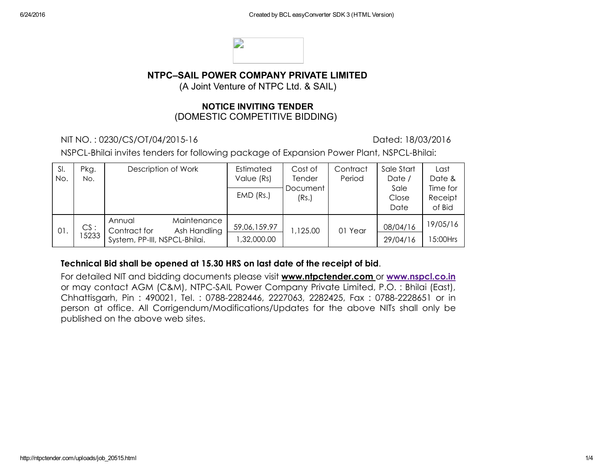

## NTPC–SAIL POWER COMPANY PRIVATE LIMITED

(A Joint Venture of NTPC Ltd. & SAIL)

#### NOTICE INVITING TENDER (DOMESTIC COMPETITIVE BIDDING)

NIT NO. : 0230/CS/OT/04/201516 Dated: 18/03/2016

NSPCL-Bhilai invites tenders for following package of Expansion Power Plant, NSPCL-Bhilai:

| SI.<br>No. | Pkg.<br>No.  | Description of Work                                                                    | Estimated<br>Value (Rs)    | Cost of<br><b>Tender</b> | Contract<br>Period | Sale Start<br>Date /  | Last<br>Date &                |
|------------|--------------|----------------------------------------------------------------------------------------|----------------------------|--------------------------|--------------------|-----------------------|-------------------------------|
|            |              |                                                                                        | $EMD$ (Rs.)                | Document<br>(Rs.)        |                    | Sale<br>Close<br>Date | Time for<br>Receipt<br>of Bid |
| 01.        | CS:<br>15233 | Maintenance<br>Annual<br>Contract for<br>Ash Handling<br>System, PP-III, NSPCL-Bhilai. | 59,06,159.97<br>,32,000.00 | 1,125.00                 | 01 Year            | 08/04/16<br>29/04/16  | 19/05/16<br>5:00Hrs           |

#### Technical Bid shall be opened at 15.30 HRS on last date of the receipt of bid.

For detailed NIT and bidding documents please visit www.ntpctender.com or [www.nspcl.co.in](http://www.nspcl.co.in/) or may contact AGM (C&M), NTPC-SAIL Power Company Private Limited, P.O. : Bhilai (East), Chhattisgarh, Pin: 490021, Tel.: 0788-2282446, 2227063, 2282425, Fax: 0788-2228651 or in person at office. All Corrigendum/Modifications/Updates for the above NITs shall only be published on the above web sites.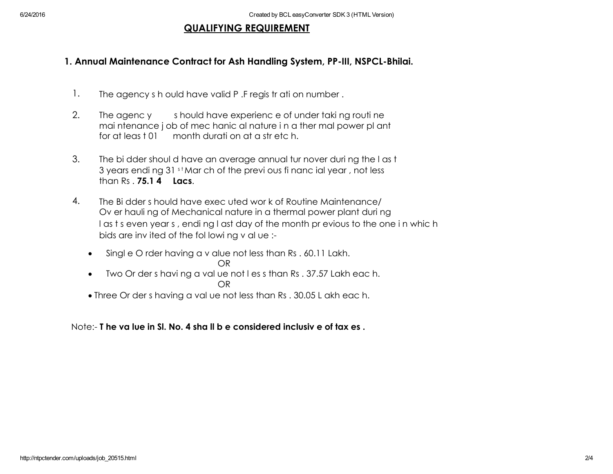### QUALIFYING REQUIREMENT

# 1. Annual Maintenance Contract for Ash Handling System, PP-III, NSPCL-Bhilai.

- 1. The agency s h ould have valid P. F regis tr ati on number.
- 2. The agenc y should have experience of under taking routine mai ntenance j ob of mec hanic al nature i n a ther mal power pl ant for at leas t 01 month durati on at a str etc h.
- 3. The bi dder shoul d have an average annual tur nover duri ng the l as t 3 years endi ng 31 st Mar ch of the previ ous fi nanc ial year, not less than Rs . 75.1 4 Lacs.
- 4. The Bi dder s hould have exec uted wor k of Routine Maintenance/ Ov er hauli ng of Mechanical nature in a thermal power plant duri ng l as t s even year s , endi ng l ast day of the month pr evious to the one i n whic h bids are inv ited of the fol lowi ng v al ue :
	- Singl e O rder having a v alue not less than Rs . 60.11 Lakh. OR
	- Two Or der s havi ng a val ue not l es s than Rs . 37.57 Lakh eac h. OR
	- Three Or der s having a val ue not less than Rs . 30.05 L akh eac h.

Note: T he va lue in Sl. No. 4 sha ll b e considered inclusiv e of tax es .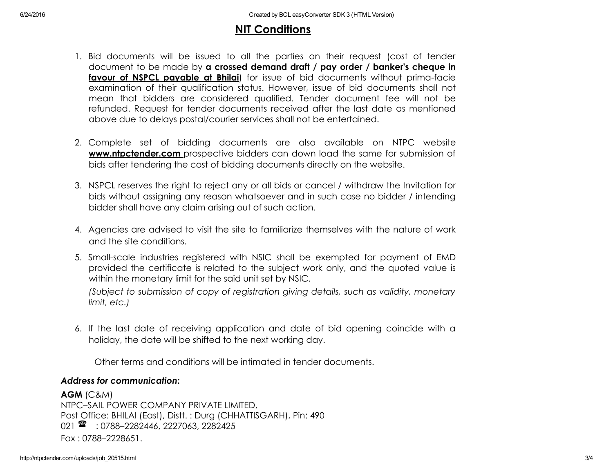# NIT Conditions

- 1. Bid documents will be issued to all the parties on their request (cost of tender document to be made by a crossed demand draft / pay order / banker's cheque in **favour of NSPCL payable at Bhilai**) for issue of bid documents without prima-facie examination of their qualification status. However, issue of bid documents shall not mean that bidders are considered qualified. Tender document fee will not be refunded. Request for tender documents received after the last date as mentioned above due to delays postal/courier services shall not be entertained.
- 2. Complete set of bidding documents are also available on NTPC website **www.ntpctender.com** prospective bidders can down load the same for submission of bids after tendering the cost of bidding documents directly on the website.
- 3. NSPCL reserves the right to reject any or all bids or cancel / withdraw the Invitation for bids without assigning any reason whatsoever and in such case no bidder / intending bidder shall have any claim arising out of such action.
- 4. Agencies are advised to visit the site to familiarize themselves with the nature of work and the site conditions.
- 5. Smallscale industries registered with NSIC shall be exempted for payment of EMD provided the certificate is related to the subject work only, and the quoted value is within the monetary limit for the said unit set by NSIC.

*(Subject to submission of copy of registration giving details, such as validity, monetary limit, etc.)*

6. If the last date of receiving application and date of bid opening coincide with a holiday, the date will be shifted to the next working day.

Other terms and conditions will be intimated in tender documents.

#### *Address for communication*:

AGM (C&M) NTPC–SAIL POWER COMPANY PRIVATE LIMITED, Post Office: BHILAI (East), Distt. : Durg (CHHATTISGARH), Pin: 490 021  $\rightarrow$  : 0788-2282446, 2227063, 2282425 Fax : 0788–2228651.